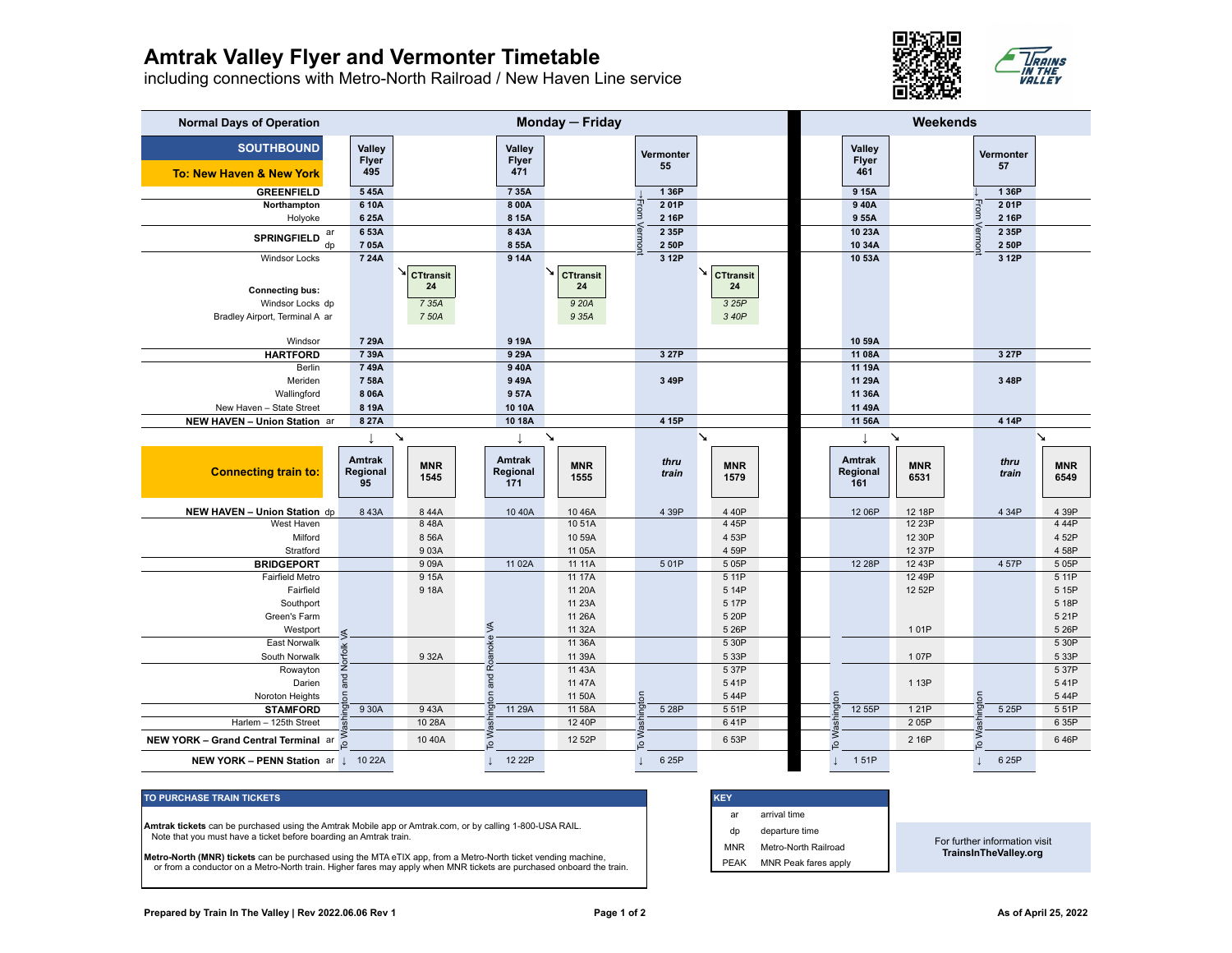## **Amtrak Valley Flyer and Vermonter Timetable**

including connections with Metro-North Railroad / New Haven Line service



| <b>Normal Days of Operation</b>                          | Monday - Friday                 |                        |                                  |                       |                 |                       | Weekends                         |                    |                        |                       |
|----------------------------------------------------------|---------------------------------|------------------------|----------------------------------|-----------------------|-----------------|-----------------------|----------------------------------|--------------------|------------------------|-----------------------|
| <b>SOUTHBOUND</b><br><b>To: New Haven &amp; New York</b> | Valley<br>Flyer<br>495          |                        | Valley<br>Flyer<br>471           |                       | Vermonter<br>55 |                       | Valley<br><b>Flyer</b><br>461    |                    | <b>Vermonter</b><br>57 |                       |
| <b>GREENFIELD</b>                                        | 545A                            |                        | 7 35A                            |                       | 1 36P           |                       | 9 15A                            |                    | 1 36P                  |                       |
| Northampton                                              | 610A                            |                        | 8 00A                            |                       | 201P            |                       | 940A                             |                    | 201P                   |                       |
| Holyoke                                                  | 625A                            |                        | 8 1 5 A                          |                       | From<br>2 16P   |                       | 955A                             |                    | From<br>2 16P          |                       |
| ar                                                       | 653A                            |                        | 843A                             |                       | 2 35P           |                       | 10 23A                           |                    | 2 35P                  |                       |
| <b>SPRINGFIELD</b><br>$d_{D}$                            | 705A                            |                        | 8 55A                            |                       | ermoni<br>2 50P |                       | 10 34A                           |                    | ermo<br>2 50P          |                       |
| <b>Windsor Locks</b>                                     | 7 24A                           |                        | 9 14A                            |                       | 3 12P           |                       | 10 53A                           |                    | 3 12P                  |                       |
|                                                          |                                 | ↘∣<br><b>CTtransit</b> |                                  | ↘<br><b>CTtransit</b> |                 | ↘<br><b>CTtransit</b> |                                  |                    |                        |                       |
| <b>Connecting bus:</b>                                   |                                 | 24                     |                                  | 24                    |                 | 24                    |                                  |                    |                        |                       |
| Windsor Locks dp                                         |                                 | 7 35A                  |                                  | 9 20A                 |                 | 3 25P                 |                                  |                    |                        |                       |
| Bradley Airport, Terminal A ar                           |                                 | 7 50A                  |                                  | 9 35A                 |                 | 3 40P                 |                                  |                    |                        |                       |
|                                                          |                                 |                        |                                  |                       |                 |                       |                                  |                    |                        |                       |
| Windsor                                                  | 7 29A                           |                        | 9 19A                            |                       |                 |                       | 10 59A                           |                    |                        |                       |
| <b>HARTFORD</b>                                          | 739A                            |                        | 929A                             |                       | 3 27P           |                       | 11 08A                           |                    | 3 27P                  |                       |
| Berlin                                                   | 749A                            |                        | 940A                             |                       |                 |                       | 11 19A                           |                    |                        |                       |
| Meriden                                                  | 758A                            |                        | 949A                             |                       | 3 49P           |                       | 11 29A                           |                    | 3 48P                  |                       |
| Wallingford                                              | 8 0 6 A                         |                        | 957A                             |                       |                 |                       | 11 36A                           |                    |                        |                       |
| New Haven - State Street                                 | 8 19A                           |                        | 10 10A                           |                       |                 |                       | 11 49A                           |                    |                        |                       |
| NEW HAVEN - Union Station ar                             | 8 27A                           |                        | 10 18A                           |                       | 4 15P           |                       | 11 56A                           |                    | 4 14P                  |                       |
|                                                          |                                 | $\boldsymbol{\lambda}$ |                                  | $\mathbf{v}$          |                 | $\mathbf{v}$          |                                  | $\mathbf{v}$       |                        | $\mathbf{\mathbf{N}}$ |
| <b>Connecting train to:</b>                              | <b>Amtrak</b><br>Regional<br>95 | <b>MNR</b><br>1545     | <b>Amtrak</b><br>Regional<br>171 | <b>MNR</b><br>1555    | thru<br>train   | <b>MNR</b><br>1579    | <b>Amtrak</b><br>Regional<br>161 | <b>MNR</b><br>6531 | thru<br>train          | <b>MNR</b><br>6549    |
| NEW HAVEN - Union Station dp                             | 843A                            | 844A                   | 10 40A                           | 1046A                 | 4 39P           | 4 40P                 | 12 06P                           | 12 18P             | 4 34P                  | 4 39P                 |
| West Haven                                               |                                 | 848A                   |                                  | 1051A                 |                 | 4 45P                 |                                  | 12 23P             |                        | 444P                  |
| Milford                                                  |                                 | 8 56A                  |                                  | 10 59A                |                 | 4 53P                 |                                  | 12 30P             |                        | 452P                  |
| Stratford                                                |                                 | 903A                   |                                  | 11 05A                |                 | 4 59P                 |                                  | 12 37P             |                        | 458P                  |
| <b>BRIDGEPORT</b>                                        |                                 | 909A                   | 11 02A                           | 11 11A                | 501P            | 5 05P                 | 12 28P                           | 12 43P             | 4 57P                  | 505P                  |
| Fairfield Metro                                          |                                 | 9 15A                  |                                  | 11 17A                |                 | 5 11P                 |                                  | 12 49P             |                        | 5 11P                 |
| Fairfield                                                |                                 | 918A                   |                                  | 11 20A                |                 | 5 14P                 |                                  | 12 52P             |                        | 5 15P                 |
| Southport                                                |                                 |                        |                                  | 11 23A                |                 | 5 17P                 |                                  |                    |                        | 5 18P                 |
| Green's Farm                                             |                                 |                        |                                  | 11 26A                |                 | 5 20P                 |                                  |                    |                        | 521P                  |
| Westport                                                 | ≶                               |                        | ≶                                | 11 32A                |                 | 5 26P                 |                                  | 101P               |                        | 5 26P                 |
| East Norwalk                                             |                                 |                        | Roanoke                          | 11 36A                |                 | 5 30P                 |                                  |                    |                        | 5 30P                 |
| South Norwalk                                            |                                 | 932A                   |                                  | 11 39A                |                 | 5 33P                 |                                  | 107P               |                        | 5 33P                 |
| Rowayton                                                 | and Norfolk                     |                        |                                  | 11 43A                |                 | 5 37P                 |                                  |                    |                        | 537P                  |
| Darien                                                   |                                 |                        |                                  | 11 47A                |                 | 541P                  |                                  | 1 13P              |                        | 541P                  |
| Noroton Heights                                          | ngton                           |                        | ngton and                        | 11 50A                | ington          | 544P                  | ington                           |                    | ngton                  | 544P                  |
| <b>STAMFORD</b>                                          | 930A                            | 943A                   | 11 29A                           | 11 58A                | 5 28P           | 551P                  | 12 55P                           | 121P               | 5 25P                  | 551P                  |
| Harlem - 125th Street                                    |                                 | 10 28A                 |                                  | 12 40P                | Wash            | 641P                  |                                  | 205P               |                        | 6 35P                 |
| NEW YORK - Grand Central Terminal ar                     |                                 | 10 40A                 | To Wast                          | 12 52P                | $\overline{S}$  | 6 53P                 | To Wash                          | 2 16P              | To Was                 | 646P                  |
| <b>NEW YORK - PENN Station ar 1 10 22A</b>               |                                 |                        | 12 22P                           |                       | 6 25P           |                       | 151P                             |                    | 6 25P                  |                       |

## **TO PURCHASE TRAIN TICKETS**

**Amtrak tickets** can be purchased using the Amtrak Mobile app or Amtrak.com, or by calling 1-800-USA RAIL. Note that you must have a ticket before boarding an Amtrak train.

**Metro-North (MNR) tickets** can be purchased using the MTA eTIX app, from a Metro-North ticket vending machine, or from a conductor on a Metro-North train. Higher fares may apply when MNR tickets are purchased onboard the train.

| <b>KEY</b>  |                      |  |
|-------------|----------------------|--|
| ar          | arrival time         |  |
| dp          | departure time       |  |
| <b>MNR</b>  | Metro-North Railroad |  |
| <b>PEAK</b> | MNR Peak fares apply |  |

For further information visit **TrainsInTheValley.org**